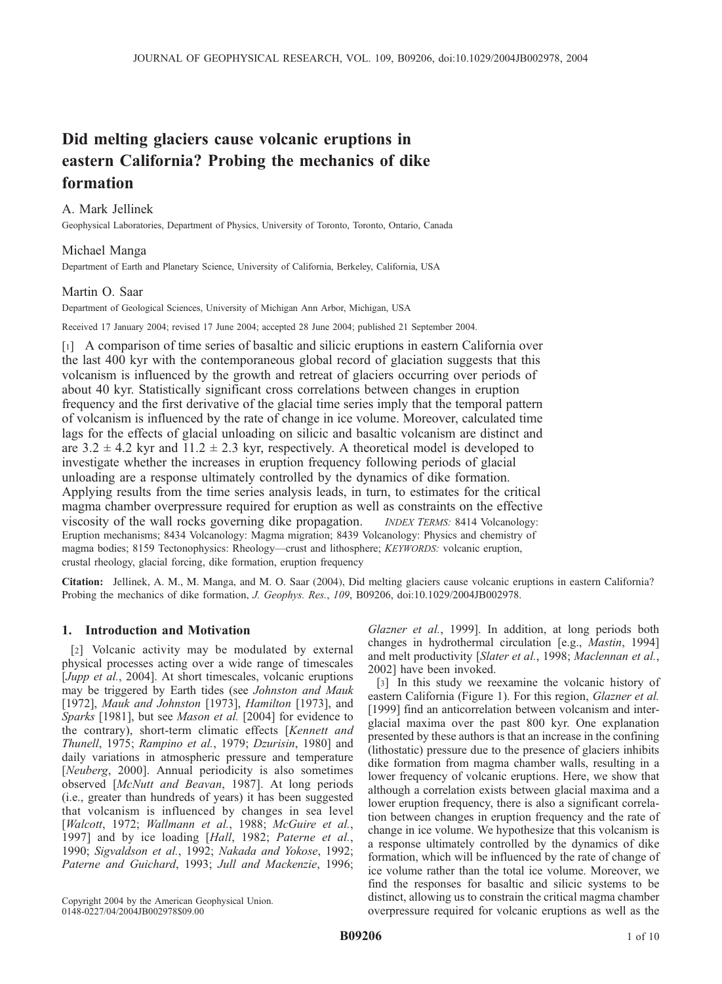# Did melting glaciers cause volcanic eruptions in eastern California? Probing the mechanics of dike formation

## A. Mark Jellinek

Geophysical Laboratories, Department of Physics, University of Toronto, Toronto, Ontario, Canada

## Michael Manga

Department of Earth and Planetary Science, University of California, Berkeley, California, USA

## Martin O. Saar

Department of Geological Sciences, University of Michigan Ann Arbor, Michigan, USA

Received 17 January 2004; revised 17 June 2004; accepted 28 June 2004; published 21 September 2004.

[1] A comparison of time series of basaltic and silicic eruptions in eastern California over the last 400 kyr with the contemporaneous global record of glaciation suggests that this volcanism is influenced by the growth and retreat of glaciers occurring over periods of about 40 kyr. Statistically significant cross correlations between changes in eruption frequency and the first derivative of the glacial time series imply that the temporal pattern of volcanism is influenced by the rate of change in ice volume. Moreover, calculated time lags for the effects of glacial unloading on silicic and basaltic volcanism are distinct and are  $3.2 \pm 4.2$  kyr and  $11.2 \pm 2.3$  kyr, respectively. A theoretical model is developed to investigate whether the increases in eruption frequency following periods of glacial unloading are a response ultimately controlled by the dynamics of dike formation. Applying results from the time series analysis leads, in turn, to estimates for the critical magma chamber overpressure required for eruption as well as constraints on the effective viscosity of the wall rocks governing dike propagation. INDEX TERMS: 8414 Volcanology: Eruption mechanisms; 8434 Volcanology: Magma migration; 8439 Volcanology: Physics and chemistry of magma bodies; 8159 Tectonophysics: Rheology—crust and lithosphere; KEYWORDS: volcanic eruption, crustal rheology, glacial forcing, dike formation, eruption frequency

Citation: Jellinek, A. M., M. Manga, and M. O. Saar (2004), Did melting glaciers cause volcanic eruptions in eastern California? Probing the mechanics of dike formation, J. Geophys. Res., 109, B09206, doi:10.1029/2004JB002978.

## 1. Introduction and Motivation

[2] Volcanic activity may be modulated by external physical processes acting over a wide range of timescales [Jupp et al., 2004]. At short timescales, volcanic eruptions may be triggered by Earth tides (see Johnston and Mauk [1972], Mauk and Johnston [1973], Hamilton [1973], and Sparks [1981], but see Mason et al. [2004] for evidence to the contrary), short-term climatic effects [Kennett and Thunell, 1975; Rampino et al., 1979; Dzurisin, 1980] and daily variations in atmospheric pressure and temperature [Neuberg, 2000]. Annual periodicity is also sometimes observed [McNutt and Beavan, 1987]. At long periods (i.e., greater than hundreds of years) it has been suggested that volcanism is influenced by changes in sea level [Walcott, 1972; Wallmann et al., 1988; McGuire et al., 1997] and by ice loading [Hall, 1982; Paterne et al., 1990; Sigvaldson et al., 1992; Nakada and Yokose, 1992; Paterne and Guichard, 1993; Jull and Mackenzie, 1996;

Glazner et al., 1999]. In addition, at long periods both changes in hydrothermal circulation [e.g., Mastin, 1994] and melt productivity [Slater et al., 1998; Maclennan et al., 2002] have been invoked.

[3] In this study we reexamine the volcanic history of eastern California (Figure 1). For this region, Glazner et al. [1999] find an anticorrelation between volcanism and interglacial maxima over the past 800 kyr. One explanation presented by these authors is that an increase in the confining (lithostatic) pressure due to the presence of glaciers inhibits dike formation from magma chamber walls, resulting in a lower frequency of volcanic eruptions. Here, we show that although a correlation exists between glacial maxima and a lower eruption frequency, there is also a significant correlation between changes in eruption frequency and the rate of change in ice volume. We hypothesize that this volcanism is a response ultimately controlled by the dynamics of dike formation, which will be influenced by the rate of change of ice volume rather than the total ice volume. Moreover, we find the responses for basaltic and silicic systems to be distinct, allowing us to constrain the critical magma chamber overpressure required for volcanic eruptions as well as the

Copyright 2004 by the American Geophysical Union. 0148-0227/04/2004JB002978\$09.00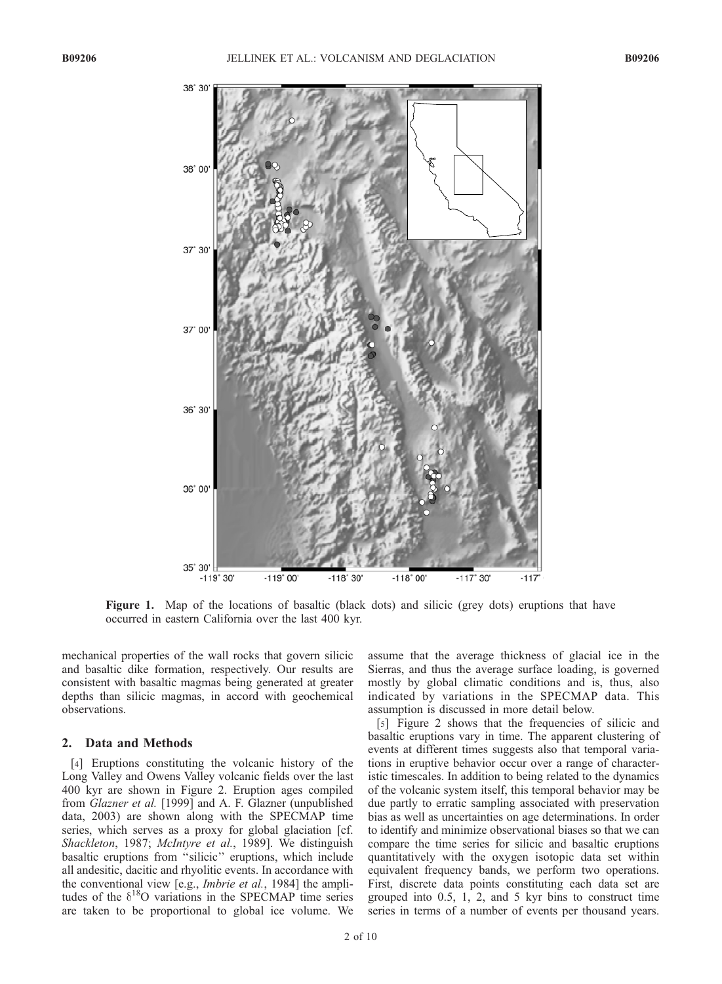

Figure 1. Map of the locations of basaltic (black dots) and silicic (grey dots) eruptions that have occurred in eastern California over the last 400 kyr.

mechanical properties of the wall rocks that govern silicic and basaltic dike formation, respectively. Our results are consistent with basaltic magmas being generated at greater depths than silicic magmas, in accord with geochemical observations.

### 2. Data and Methods

[4] Eruptions constituting the volcanic history of the Long Valley and Owens Valley volcanic fields over the last 400 kyr are shown in Figure 2. Eruption ages compiled from Glazner et al. [1999] and A. F. Glazner (unpublished data, 2003) are shown along with the SPECMAP time series, which serves as a proxy for global glaciation [cf. Shackleton, 1987; McIntyre et al., 1989]. We distinguish basaltic eruptions from ''silicic'' eruptions, which include all andesitic, dacitic and rhyolitic events. In accordance with the conventional view [e.g., *Imbrie et al.*, 1984] the amplitudes of the  $\delta^{18}O$  variations in the SPECMAP time series are taken to be proportional to global ice volume. We assume that the average thickness of glacial ice in the Sierras, and thus the average surface loading, is governed mostly by global climatic conditions and is, thus, also indicated by variations in the SPECMAP data. This assumption is discussed in more detail below.

[5] Figure 2 shows that the frequencies of silicic and basaltic eruptions vary in time. The apparent clustering of events at different times suggests also that temporal variations in eruptive behavior occur over a range of characteristic timescales. In addition to being related to the dynamics of the volcanic system itself, this temporal behavior may be due partly to erratic sampling associated with preservation bias as well as uncertainties on age determinations. In order to identify and minimize observational biases so that we can compare the time series for silicic and basaltic eruptions quantitatively with the oxygen isotopic data set within equivalent frequency bands, we perform two operations. First, discrete data points constituting each data set are grouped into 0.5, 1, 2, and 5 kyr bins to construct time series in terms of a number of events per thousand years.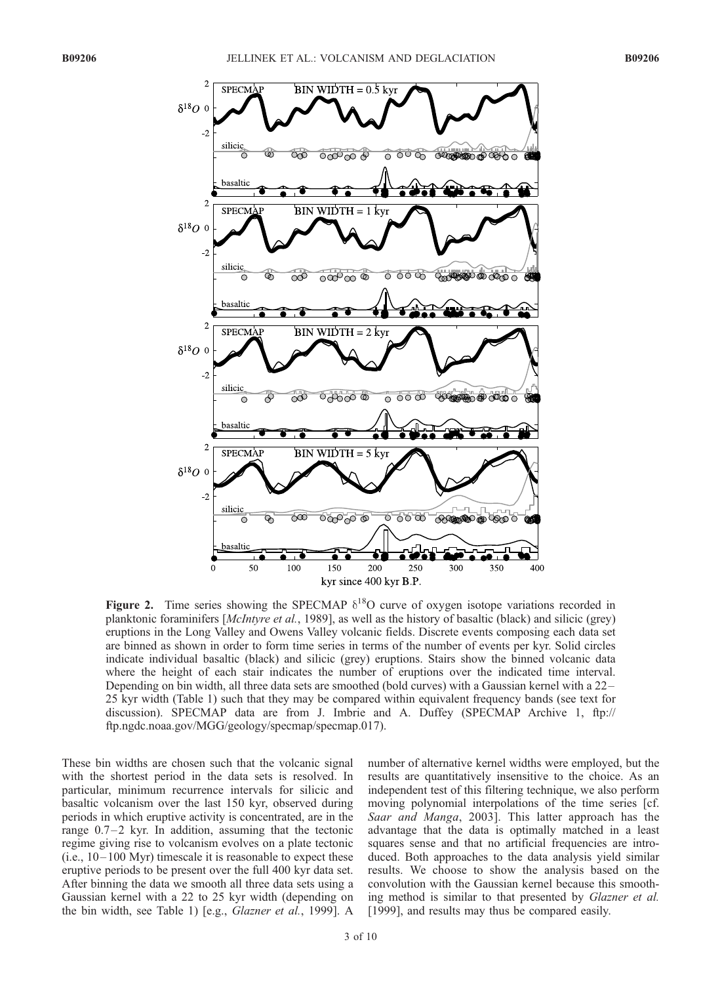

Figure 2. Time series showing the SPECMAP  $\delta^{18}O$  curve of oxygen isotope variations recorded in planktonic foraminifers [McIntyre et al., 1989], as well as the history of basaltic (black) and silicic (grey) eruptions in the Long Valley and Owens Valley volcanic fields. Discrete events composing each data set are binned as shown in order to form time series in terms of the number of events per kyr. Solid circles indicate individual basaltic (black) and silicic (grey) eruptions. Stairs show the binned volcanic data where the height of each stair indicates the number of eruptions over the indicated time interval. Depending on bin width, all three data sets are smoothed (bold curves) with a Gaussian kernel with a 22– 25 kyr width (Table 1) such that they may be compared within equivalent frequency bands (see text for discussion). SPECMAP data are from J. Imbrie and A. Duffey (SPECMAP Archive 1, ftp:// ftp.ngdc.noaa.gov/MGG/geology/specmap/specmap.017).

These bin widths are chosen such that the volcanic signal with the shortest period in the data sets is resolved. In particular, minimum recurrence intervals for silicic and basaltic volcanism over the last 150 kyr, observed during periods in which eruptive activity is concentrated, are in the range  $0.7-2$  kyr. In addition, assuming that the tectonic regime giving rise to volcanism evolves on a plate tectonic  $(i.e., 10-100 Myr)$  timescale it is reasonable to expect these eruptive periods to be present over the full 400 kyr data set. After binning the data we smooth all three data sets using a Gaussian kernel with a 22 to 25 kyr width (depending on the bin width, see Table 1) [e.g., Glazner et al., 1999]. A

number of alternative kernel widths were employed, but the results are quantitatively insensitive to the choice. As an independent test of this filtering technique, we also perform moving polynomial interpolations of the time series [cf. Saar and Manga, 2003]. This latter approach has the advantage that the data is optimally matched in a least squares sense and that no artificial frequencies are introduced. Both approaches to the data analysis yield similar results. We choose to show the analysis based on the convolution with the Gaussian kernel because this smoothing method is similar to that presented by Glazner et al. [1999], and results may thus be compared easily.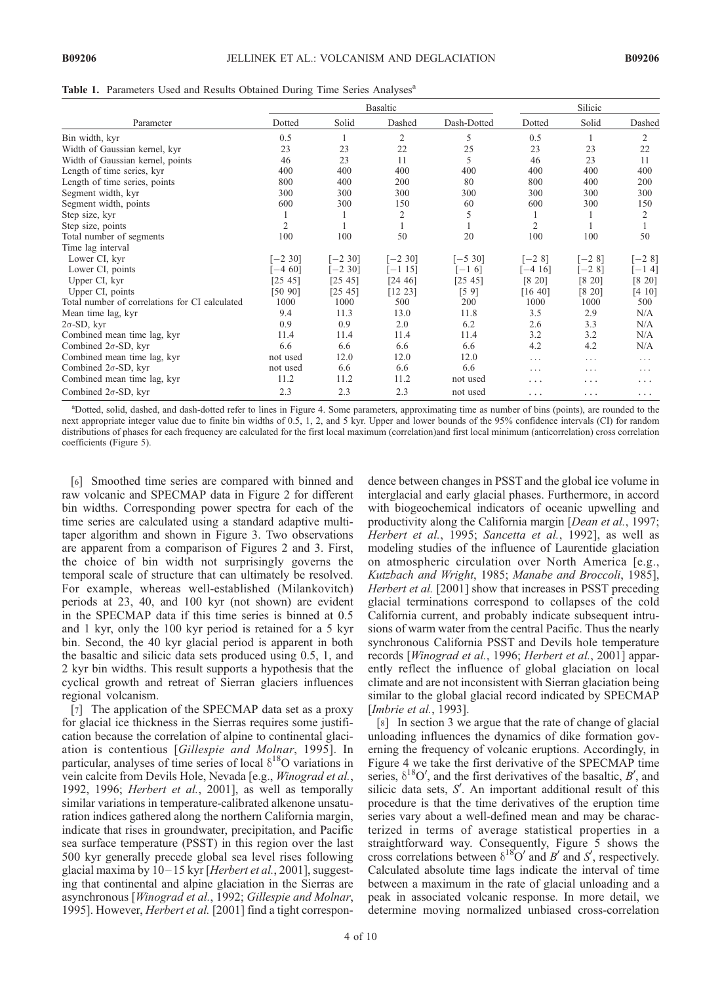Table 1. Parameters Used and Results Obtained During Time Series Analyses<sup>a</sup>

| Parameter                                      | <b>Basaltic</b> |            |                |             | Silicic        |         |          |
|------------------------------------------------|-----------------|------------|----------------|-------------|----------------|---------|----------|
|                                                | Dotted          | Solid      | Dashed         | Dash-Dotted | Dotted         | Solid   | Dashed   |
| Bin width, kyr                                 | 0.5             |            | $\overline{2}$ | 5           | 0.5            |         | 2        |
| Width of Gaussian kernel, kyr                  | 23              | 23         | 22             | 25          | 23             | 23      | 22       |
| Width of Gaussian kernel, points               | 46              | 23         | 11             | 5           | 46             | 23      | 11       |
| Length of time series, kyr                     | 400             | 400        | 400            | 400         | 400            | 400     | 400      |
| Length of time series, points                  | 800             | 400        | 200            | 80          | 800            | 400     | 200      |
| Segment width, kyr                             | 300             | 300        | 300            | 300         | 300            | 300     | 300      |
| Segment width, points                          | 600             | 300        | 150            | 60          | 600            | 300     | 150      |
| Step size, kyr                                 |                 |            | 2              | 5           |                |         | 2        |
| Step size, points                              | $\overline{2}$  |            |                |             | $\overline{2}$ |         |          |
| Total number of segments                       | 100             | 100        | 50             | 20          | 100            | 100     | 50       |
| Time lag interval                              |                 |            |                |             |                |         |          |
| Lower CI, kyr                                  | $[-2, 30]$      | $[-2, 30]$ | $[-2, 30]$     | $[-5, 30]$  | $[-28]$        | $[-28]$ | $[-28]$  |
| Lower CI, points                               | $[-4, 60]$      | $[-2, 30]$ | $[-115]$       | $[-1 6]$    | $-416$         | $[-28]$ | $[-14]$  |
| Upper CI, kyr                                  | [25 45]         | [25 45]    | [24 46]        | [25 45]     | [8 20]         | [8 20]  | [8 20]   |
| Upper CI, points                               | [5090]          | [25 45]    | [12 23]        | [59]        | [16 40]        | [8 20]  | [4 10]   |
| Total number of correlations for CI calculated | 1000            | 1000       | 500            | 200         | 1000           | 1000    | 500      |
| Mean time lag, kyr                             | 9.4             | 11.3       | 13.0           | 11.8        | 3.5            | 2.9     | N/A      |
| $2\sigma$ -SD, kyr                             | 0.9             | 0.9        | 2.0            | 6.2         | 2.6            | 3.3     | N/A      |
| Combined mean time lag, kyr                    | 11.4            | 11.4       | 11.4           | 11.4        | 3.2            | 3.2     | N/A      |
| Combined $2\sigma$ -SD, kyr                    | 6.6             | 6.6        | 6.6            | 6.6         | 4.2            | 4.2     | N/A      |
| Combined mean time lag, kyr                    | not used        | 12.0       | 12.0           | 12.0        | .              | .       | .        |
| Combined $2\sigma$ -SD, kyr                    | not used        | 6.6        | 6.6            | 6.6         | .              | .       | .        |
| Combined mean time lag, kyr                    | 11.2            | 11.2       | 11.2           | not used    | $\cdots$       | .       | .        |
| Combined $2\sigma$ -SD, kyr                    | 2.3             | 2.3        | 2.3            | not used    | .              | .       | $\cdots$ |

<sup>a</sup>Dotted, solid, dashed, and dash-dotted refer to lines in Figure 4. Some parameters, approximating time as number of bins (points), are rounded to the next appropriate integer value due to finite bin widths of 0.5, 1, 2, and 5 kyr. Upper and lower bounds of the 95% confidence intervals (CI) for random distributions of phases for each frequency are calculated for the first local maximum (correlation)and first local minimum (anticorrelation) cross correlation coefficients (Figure 5).

[6] Smoothed time series are compared with binned and raw volcanic and SPECMAP data in Figure 2 for different bin widths. Corresponding power spectra for each of the time series are calculated using a standard adaptive multitaper algorithm and shown in Figure 3. Two observations are apparent from a comparison of Figures 2 and 3. First, the choice of bin width not surprisingly governs the temporal scale of structure that can ultimately be resolved. For example, whereas well-established (Milankovitch) periods at 23, 40, and 100 kyr (not shown) are evident in the SPECMAP data if this time series is binned at 0.5 and 1 kyr, only the 100 kyr period is retained for a 5 kyr bin. Second, the 40 kyr glacial period is apparent in both the basaltic and silicic data sets produced using 0.5, 1, and 2 kyr bin widths. This result supports a hypothesis that the cyclical growth and retreat of Sierran glaciers influences regional volcanism.

[7] The application of the SPECMAP data set as a proxy for glacial ice thickness in the Sierras requires some justification because the correlation of alpine to continental glaciation is contentious [Gillespie and Molnar, 1995]. In particular, analyses of time series of local  $\delta^{18}O$  variations in vein calcite from Devils Hole, Nevada [e.g., Winograd et al., 1992, 1996; Herbert et al., 2001], as well as temporally similar variations in temperature-calibrated alkenone unsaturation indices gathered along the northern California margin, indicate that rises in groundwater, precipitation, and Pacific sea surface temperature (PSST) in this region over the last 500 kyr generally precede global sea level rises following glacial maxima by 10-15 kyr [Herbert et al., 2001], suggesting that continental and alpine glaciation in the Sierras are asynchronous [Winograd et al., 1992; Gillespie and Molnar, 1995]. However, *Herbert et al.* [2001] find a tight correspon-

dence between changes in PSST and the global ice volume in interglacial and early glacial phases. Furthermore, in accord with biogeochemical indicators of oceanic upwelling and productivity along the California margin [Dean et al., 1997; Herbert et al., 1995; Sancetta et al., 1992], as well as modeling studies of the influence of Laurentide glaciation on atmospheric circulation over North America [e.g., Kutzbach and Wright, 1985; Manabe and Broccoli, 1985], Herbert et al. [2001] show that increases in PSST preceding glacial terminations correspond to collapses of the cold California current, and probably indicate subsequent intrusions of warm water from the central Pacific. Thus the nearly synchronous California PSST and Devils hole temperature records [Winograd et al., 1996; Herbert et al., 2001] apparently reflect the influence of global glaciation on local climate and are not inconsistent with Sierran glaciation being similar to the global glacial record indicated by SPECMAP [*Imbrie et al.*, 1993].

[8] In section 3 we argue that the rate of change of glacial unloading influences the dynamics of dike formation governing the frequency of volcanic eruptions. Accordingly, in Figure 4 we take the first derivative of the SPECMAP time series,  $\delta^{18}O'$ , and the first derivatives of the basaltic, B', and silicic data sets,  $S'$ . An important additional result of this procedure is that the time derivatives of the eruption time series vary about a well-defined mean and may be characterized in terms of average statistical properties in a straightforward way. Consequently, Figure 5 shows the cross correlations between  $\delta^{18}O'$  and B' and S', respectively. Calculated absolute time lags indicate the interval of time between a maximum in the rate of glacial unloading and a peak in associated volcanic response. In more detail, we determine moving normalized unbiased cross-correlation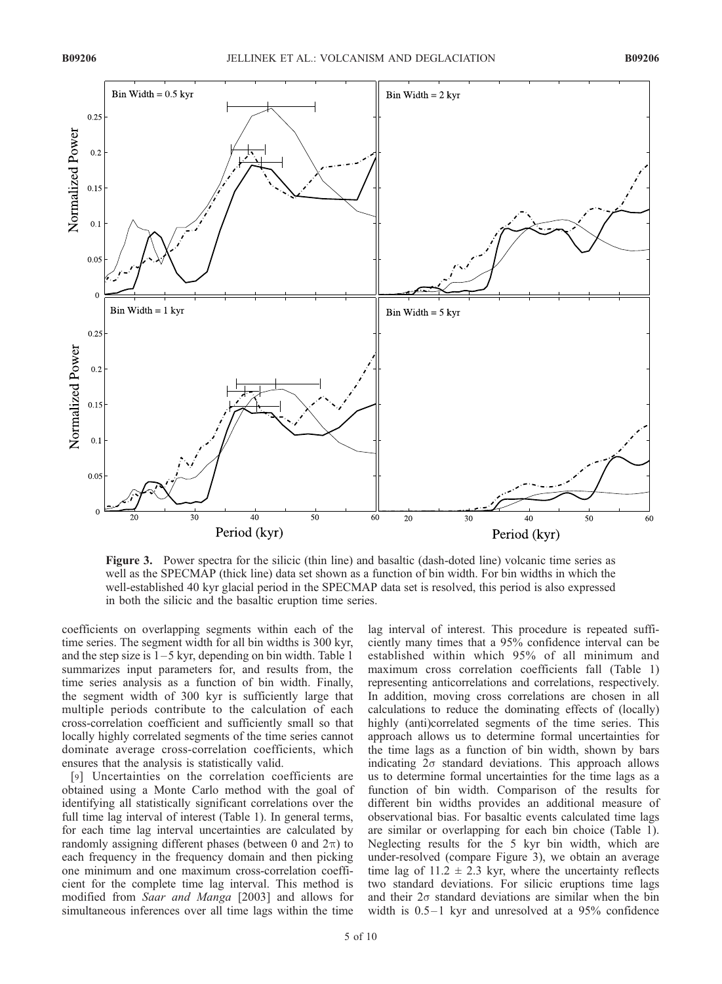

Figure 3. Power spectra for the silicic (thin line) and basaltic (dash-doted line) volcanic time series as well as the SPECMAP (thick line) data set shown as a function of bin width. For bin widths in which the well-established 40 kyr glacial period in the SPECMAP data set is resolved, this period is also expressed in both the silicic and the basaltic eruption time series.

coefficients on overlapping segments within each of the time series. The segment width for all bin widths is 300 kyr, and the step size is  $1-5$  kyr, depending on bin width. Table 1 summarizes input parameters for, and results from, the time series analysis as a function of bin width. Finally, the segment width of 300 kyr is sufficiently large that multiple periods contribute to the calculation of each cross-correlation coefficient and sufficiently small so that locally highly correlated segments of the time series cannot dominate average cross-correlation coefficients, which ensures that the analysis is statistically valid.

[9] Uncertainties on the correlation coefficients are obtained using a Monte Carlo method with the goal of identifying all statistically significant correlations over the full time lag interval of interest (Table 1). In general terms, for each time lag interval uncertainties are calculated by randomly assigning different phases (between 0 and  $2\pi$ ) to each frequency in the frequency domain and then picking one minimum and one maximum cross-correlation coefficient for the complete time lag interval. This method is modified from Saar and Manga [2003] and allows for simultaneous inferences over all time lags within the time

lag interval of interest. This procedure is repeated sufficiently many times that a 95% confidence interval can be established within which 95% of all minimum and maximum cross correlation coefficients fall (Table 1) representing anticorrelations and correlations, respectively. In addition, moving cross correlations are chosen in all calculations to reduce the dominating effects of (locally) highly (anti)correlated segments of the time series. This approach allows us to determine formal uncertainties for the time lags as a function of bin width, shown by bars indicating  $2\sigma$  standard deviations. This approach allows us to determine formal uncertainties for the time lags as a function of bin width. Comparison of the results for different bin widths provides an additional measure of observational bias. For basaltic events calculated time lags are similar or overlapping for each bin choice (Table 1). Neglecting results for the 5 kyr bin width, which are under-resolved (compare Figure 3), we obtain an average time lag of  $11.2 \pm 2.3$  kyr, where the uncertainty reflects two standard deviations. For silicic eruptions time lags and their  $2\sigma$  standard deviations are similar when the bin width is  $0.5-1$  kyr and unresolved at a 95% confidence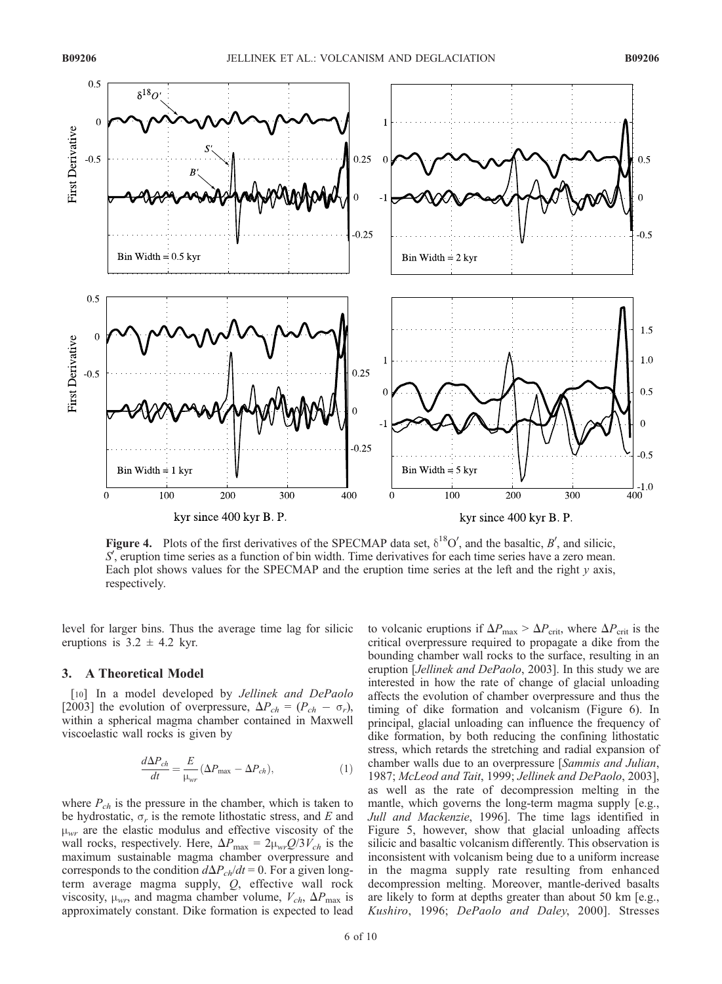

Figure 4. Plots of the first derivatives of the SPECMAP data set,  $\delta^{18}O'$ , and the basaltic, B', and silicic, S', eruption time series as a function of bin width. Time derivatives for each time series have a zero mean. Each plot shows values for the SPECMAP and the eruption time series at the left and the right  $y$  axis, respectively.

level for larger bins. Thus the average time lag for silicic eruptions is  $3.2 \pm 4.2$  kyr.

## 3. A Theoretical Model

[10] In a model developed by *Jellinek and DePaolo* [2003] the evolution of overpressure,  $\Delta P_{ch} = (P_{ch} - \sigma_r)$ , within a spherical magma chamber contained in Maxwell viscoelastic wall rocks is given by

$$
\frac{d\Delta P_{ch}}{dt} = \frac{E}{\mu_{wr}} (\Delta P_{\text{max}} - \Delta P_{ch}),
$$
\n(1)

where  $P_{ch}$  is the pressure in the chamber, which is taken to be hydrostatic,  $\sigma_r$  is the remote lithostatic stress, and E and  $\mu_{wr}$  are the elastic modulus and effective viscosity of the wall rocks, respectively. Here,  $\Delta P_{\text{max}} = 2\mu_{\text{wr}}Q/3V_{ch}$  is the maximum sustainable magma chamber overpressure and corresponds to the condition  $d\Delta P_{ch}/dt = 0$ . For a given longterm average magma supply, Q, effective wall rock viscosity,  $\mu_{wr}$ , and magma chamber volume,  $V_{ch}$ ,  $\Delta P_{max}$  is approximately constant. Dike formation is expected to lead

to volcanic eruptions if  $\Delta P_{\text{max}} > \Delta P_{\text{crit}}$ , where  $\Delta P_{\text{crit}}$  is the critical overpressure required to propagate a dike from the bounding chamber wall rocks to the surface, resulting in an eruption [Jellinek and DePaolo, 2003]. In this study we are interested in how the rate of change of glacial unloading affects the evolution of chamber overpressure and thus the timing of dike formation and volcanism (Figure 6). In principal, glacial unloading can influence the frequency of dike formation, by both reducing the confining lithostatic stress, which retards the stretching and radial expansion of chamber walls due to an overpressure [Sammis and Julian, 1987; McLeod and Tait, 1999; Jellinek and DePaolo, 2003], as well as the rate of decompression melting in the mantle, which governs the long-term magma supply [e.g., Jull and Mackenzie, 1996]. The time lags identified in Figure 5, however, show that glacial unloading affects silicic and basaltic volcanism differently. This observation is inconsistent with volcanism being due to a uniform increase in the magma supply rate resulting from enhanced decompression melting. Moreover, mantle-derived basalts are likely to form at depths greater than about 50 km [e.g., Kushiro, 1996; DePaolo and Daley, 2000]. Stresses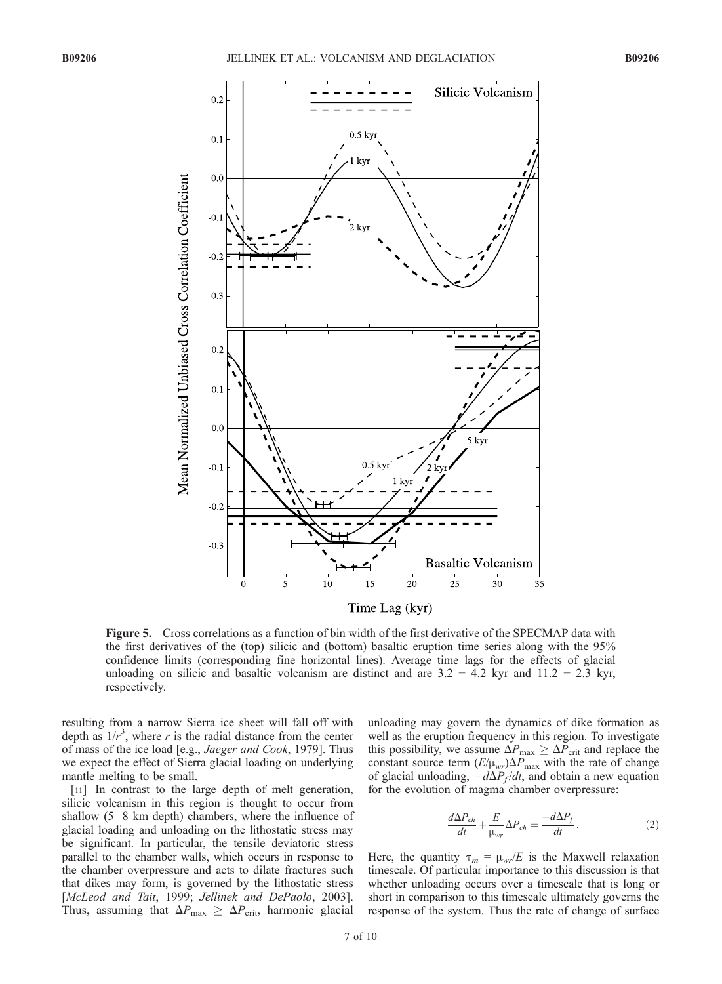

Figure 5. Cross correlations as a function of bin width of the first derivative of the SPECMAP data with the first derivatives of the (top) silicic and (bottom) basaltic eruption time series along with the 95% confidence limits (corresponding fine horizontal lines). Average time lags for the effects of glacial unloading on silicic and basaltic volcanism are distinct and are  $3.2 \pm 4.2$  kyr and  $11.2 \pm 2.3$  kyr, respectively.

resulting from a narrow Sierra ice sheet will fall off with depth as  $1/r^3$ , where r is the radial distance from the center of mass of the ice load [e.g., Jaeger and Cook, 1979]. Thus we expect the effect of Sierra glacial loading on underlying mantle melting to be small.

[11] In contrast to the large depth of melt generation, silicic volcanism in this region is thought to occur from shallow  $(5-8 \text{ km depth})$  chambers, where the influence of glacial loading and unloading on the lithostatic stress may be significant. In particular, the tensile deviatoric stress parallel to the chamber walls, which occurs in response to the chamber overpressure and acts to dilate fractures such that dikes may form, is governed by the lithostatic stress [McLeod and Tait, 1999; Jellinek and DePaolo, 2003]. Thus, assuming that  $\Delta P_{\text{max}} \geq \Delta P_{\text{crit}}$ , harmonic glacial unloading may govern the dynamics of dike formation as well as the eruption frequency in this region. To investigate this possibility, we assume  $\Delta P_{\text{max}} \geq \Delta P_{\text{crit}}$  and replace the constant source term  $(E/\mu_{wr})\Delta P_{\text{max}}$  with the rate of change of glacial unloading,  $-d\Delta P_f/dt$ , and obtain a new equation for the evolution of magma chamber overpressure:

$$
\frac{d\Delta P_{ch}}{dt} + \frac{E}{\mu_{wr}} \Delta P_{ch} = \frac{-d\Delta P_f}{dt}.
$$
 (2)

Here, the quantity  $\tau_m = \mu_{\text{wz}}/E$  is the Maxwell relaxation timescale. Of particular importance to this discussion is that whether unloading occurs over a timescale that is long or short in comparison to this timescale ultimately governs the response of the system. Thus the rate of change of surface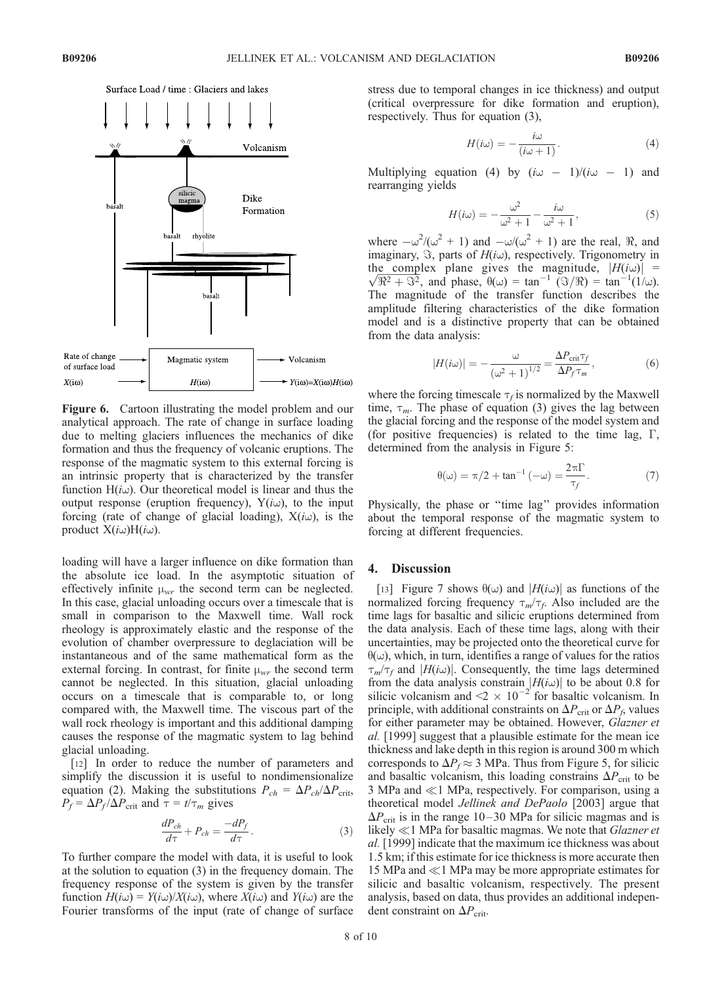

Figure 6. Cartoon illustrating the model problem and our analytical approach. The rate of change in surface loading due to melting glaciers influences the mechanics of dike formation and thus the frequency of volcanic eruptions. The response of the magmatic system to this external forcing is an intrinsic property that is characterized by the transfer function  $H(i\omega)$ . Our theoretical model is linear and thus the output response (eruption frequency),  $Y(i\omega)$ , to the input forcing (rate of change of glacial loading),  $X(i\omega)$ , is the product  $X(i\omega)H(i\omega)$ .

loading will have a larger influence on dike formation than the absolute ice load. In the asymptotic situation of effectively infinite  $\mu_{wr}$  the second term can be neglected. In this case, glacial unloading occurs over a timescale that is small in comparison to the Maxwell time. Wall rock rheology is approximately elastic and the response of the evolution of chamber overpressure to deglaciation will be instantaneous and of the same mathematical form as the external forcing. In contrast, for finite  $\mu_{wr}$  the second term cannot be neglected. In this situation, glacial unloading occurs on a timescale that is comparable to, or long compared with, the Maxwell time. The viscous part of the wall rock rheology is important and this additional damping causes the response of the magmatic system to lag behind glacial unloading.

[12] In order to reduce the number of parameters and simplify the discussion it is useful to nondimensionalize equation (2). Making the substitutions  $P_{ch} = \Delta P_{ch}/\Delta P_{crit}$ ,  $P_f = \Delta P_f / \Delta P_{\text{crit}}$  and  $\tau = t / \tau_m$  gives

$$
\frac{dP_{ch}}{d\tau} + P_{ch} = \frac{-dP_f}{d\tau}.
$$
 (3)

To further compare the model with data, it is useful to look at the solution to equation (3) in the frequency domain. The frequency response of the system is given by the transfer function  $H(i\omega) = Y(i\omega)/X(i\omega)$ , where  $X(i\omega)$  and  $Y(i\omega)$  are the Fourier transforms of the input (rate of change of surface stress due to temporal changes in ice thickness) and output (critical overpressure for dike formation and eruption), respectively. Thus for equation (3),

$$
H(i\omega) = -\frac{i\omega}{(i\omega + 1)}.
$$
\n(4)

Multiplying equation (4) by  $(i\omega - 1)/(i\omega - 1)$  and rearranging yields

$$
H(i\omega) = -\frac{\omega^2}{\omega^2 + 1} - \frac{i\omega}{\omega^2 + 1},
$$
\n(5)

where  $-\omega^2/(\omega^2 + 1)$  and  $-\omega/(\omega^2 + 1)$  are the real,  $\Re$ , and imaginary,  $\Im$ , parts of  $H(i\omega)$ , respectively. Trigonometry in the complex plane gives the magnitude,  $|H(i\omega)| = \sqrt{\Re^2 + \Im^2}$ , and phase,  $\theta(\omega) = \tan^{-1} (\Im/\Re) = \tan^{-1}(1/\omega)$ . The magnitude of the transfer function describes the amplitude filtering characteristics of the dike formation model and is a distinctive property that can be obtained from the data analysis:

$$
|H(i\omega)| = -\frac{\omega}{\left(\omega^2 + 1\right)^{1/2}} = \frac{\Delta P_{\text{crit}} \tau_f}{\Delta P_f \tau_m},\tag{6}
$$

where the forcing timescale  $\tau_f$  is normalized by the Maxwell time,  $\tau_m$ . The phase of equation (3) gives the lag between the glacial forcing and the response of the model system and (for positive frequencies) is related to the time lag,  $\Gamma$ , determined from the analysis in Figure 5:

$$
\theta(\omega) = \pi/2 + \tan^{-1}(-\omega) = \frac{2\pi\Gamma}{\tau_f}.
$$
 (7)

Physically, the phase or ''time lag'' provides information about the temporal response of the magmatic system to forcing at different frequencies.

#### 4. Discussion

[13] Figure 7 shows  $\theta(\omega)$  and  $|H(i\omega)|$  as functions of the normalized forcing frequency  $\tau_m/\tau_f$ . Also included are the time lags for basaltic and silicic eruptions determined from the data analysis. Each of these time lags, along with their uncertainties, may be projected onto the theoretical curve for  $\theta(\omega)$ , which, in turn, identifies a range of values for the ratios  $\tau_m/\tau_f$  and  $|H(i\omega)|$ . Consequently, the time lags determined from the data analysis constrain  $|H(i\omega)|$  to be about 0.8 for silicic volcanism and  $\leq 2 \times 10^{-2}$  for basaltic volcanism. In principle, with additional constraints on  $\Delta P_{\text{crit}}$  or  $\Delta P_f$ , values for either parameter may be obtained. However, Glazner et al. [1999] suggest that a plausible estimate for the mean ice thickness and lake depth in this region is around 300 m which corresponds to  $\Delta P_f \approx 3$  MPa. Thus from Figure 5, for silicic and basaltic volcanism, this loading constrains  $\Delta P_{\text{crit}}$  to be 3 MPa and  $\ll$ 1 MPa, respectively. For comparison, using a theoretical model Jellinek and DePaolo [2003] argue that  $\Delta P_{\text{crit}}$  is in the range 10–30 MPa for silicic magmas and is likely  $\ll$ 1 MPa for basaltic magmas. We note that *Glazner et* al. [1999] indicate that the maximum ice thickness was about 1.5 km; if this estimate for ice thickness is more accurate then 15 MPa and  $\ll$  1 MPa may be more appropriate estimates for silicic and basaltic volcanism, respectively. The present analysis, based on data, thus provides an additional independent constraint on  $\Delta P_{\text{crit}}$ .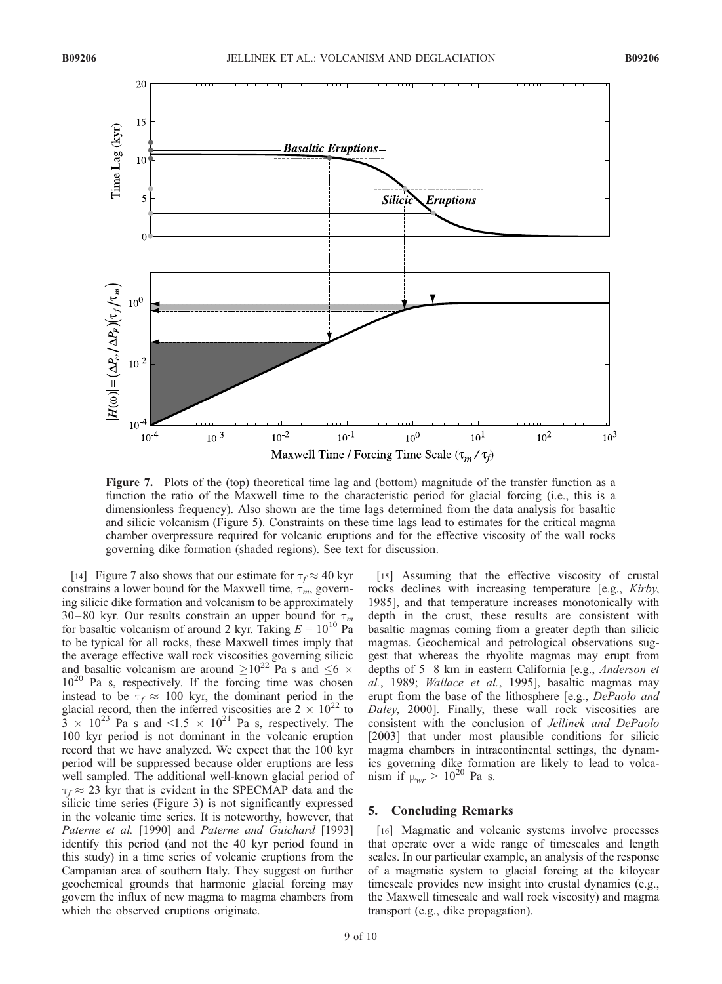

Figure 7. Plots of the (top) theoretical time lag and (bottom) magnitude of the transfer function as a function the ratio of the Maxwell time to the characteristic period for glacial forcing (i.e., this is a dimensionless frequency). Also shown are the time lags determined from the data analysis for basaltic and silicic volcanism (Figure 5). Constraints on these time lags lead to estimates for the critical magma chamber overpressure required for volcanic eruptions and for the effective viscosity of the wall rocks governing dike formation (shaded regions). See text for discussion.

[14] Figure 7 also shows that our estimate for  $\tau_f \approx 40$  kyr constrains a lower bound for the Maxwell time,  $\tau_m$ , governing silicic dike formation and volcanism to be approximately 30–80 kyr. Our results constrain an upper bound for  $\tau_m$ for basaltic volcanism of around 2 kyr. Taking  $E = 10^{10}$  Pa to be typical for all rocks, these Maxwell times imply that the average effective wall rock viscosities governing silicic and basaltic volcanism are around  $\geq 10^{22}$  Pa s and  $\leq 6 \times$  $10^{20}$  Pa s, respectively. If the forcing time was chosen instead to be  $\tau_f \approx 100$  kyr, the dominant period in the glacial record, then the inferred viscosities are  $2 \times 10^{22}$  to  $3 \times 10^{23}$  Pa s and <1.5  $\times 10^{21}$  Pa s, respectively. The 100 kyr period is not dominant in the volcanic eruption record that we have analyzed. We expect that the 100 kyr period will be suppressed because older eruptions are less well sampled. The additional well-known glacial period of  $\tau_f \approx 23$  kyr that is evident in the SPECMAP data and the silicic time series (Figure 3) is not significantly expressed in the volcanic time series. It is noteworthy, however, that Paterne et al. [1990] and Paterne and Guichard [1993] identify this period (and not the 40 kyr period found in this study) in a time series of volcanic eruptions from the Campanian area of southern Italy. They suggest on further geochemical grounds that harmonic glacial forcing may govern the influx of new magma to magma chambers from which the observed eruptions originate.

[15] Assuming that the effective viscosity of crustal rocks declines with increasing temperature [e.g., Kirby, 1985], and that temperature increases monotonically with depth in the crust, these results are consistent with basaltic magmas coming from a greater depth than silicic magmas. Geochemical and petrological observations suggest that whereas the rhyolite magmas may erupt from depths of 5–8 km in eastern California [e.g., *Anderson et* al., 1989; Wallace et al., 1995], basaltic magmas may erupt from the base of the lithosphere [e.g., DePaolo and Daley, 2000]. Finally, these wall rock viscosities are consistent with the conclusion of Jellinek and DePaolo [2003] that under most plausible conditions for silicic magma chambers in intracontinental settings, the dynamics governing dike formation are likely to lead to volcanism if  $\mu_{wr} > 10^{20}$  Pa s.

### 5. Concluding Remarks

[16] Magmatic and volcanic systems involve processes that operate over a wide range of timescales and length scales. In our particular example, an analysis of the response of a magmatic system to glacial forcing at the kiloyear timescale provides new insight into crustal dynamics (e.g., the Maxwell timescale and wall rock viscosity) and magma transport (e.g., dike propagation).